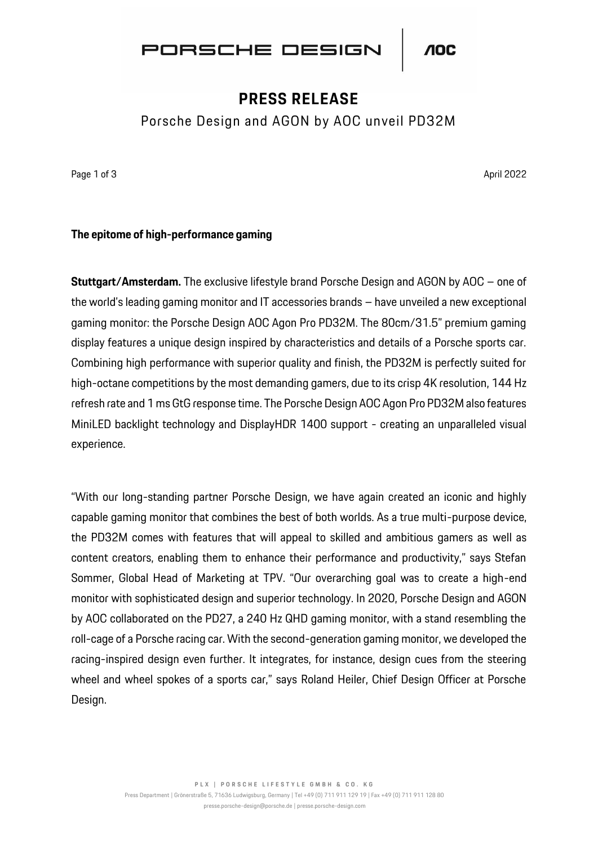

## **PRESS RELEASE**

Porsche Design and AGON by AOC unveil PD32M

Page 1 of 3 April 2022 April 2022 April 2022 April 2022 April 2022 April 2022 April 2022

### **The epitome of high-performance gaming**

**Stuttgart/Amsterdam.** The exclusive lifestyle brand Porsche Design and AGON by AOC – one of the world's leading gaming monitor and IT accessories brands – have unveiled a new exceptional gaming monitor: the Porsche Design AOC Agon Pro PD32M. The 80cm/31.5" premium gaming display features a unique design inspired by characteristics and details of a Porsche sports car. Combining high performance with superior quality and finish, the PD32M is perfectly suited for high-octane competitions by the most demanding gamers, due to its crisp 4K resolution, 144 Hz refresh rate and 1 ms GtG response time. The Porsche Design AOC Agon Pro PD32M also features MiniLED backlight technology and DisplayHDR 1400 support - creating an unparalleled visual experience.

"With our long-standing partner Porsche Design, we have again created an iconic and highly capable gaming monitor that combines the best of both worlds. As a true multi-purpose device, the PD32M comes with features that will appeal to skilled and ambitious gamers as well as content creators, enabling them to enhance their performance and productivity," says Stefan Sommer, Global Head of Marketing at TPV. "Our overarching goal was to create a high-end monitor with sophisticated design and superior technology. In 2020, Porsche Design and AGON by AOC collaborated on the PD27, a 240 Hz QHD gaming monitor, with a stand resembling the roll-cage of a Porsche racing car. With the second-generation gaming monitor, we developed the racing-inspired design even further. It integrates, for instance, design cues from the steering wheel and wheel spokes of a sports car," says Roland Heiler, Chief Design Officer at Porsche Design.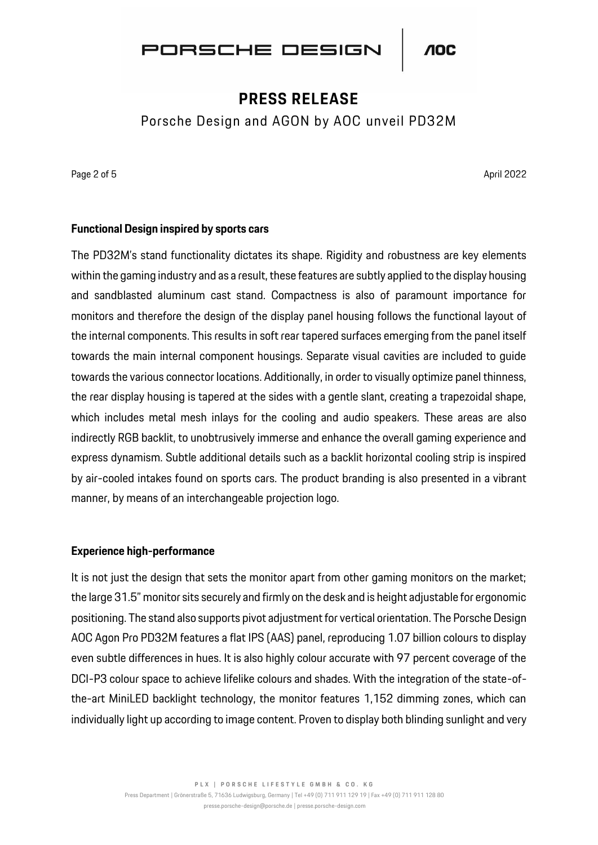

## **PRESS RELEASE**

Porsche Design and AGON by AOC unveil PD32M

Page 2 of 5 April 2022 **April 2022** 

### **Functional Design inspired by sports cars**

The PD32M's stand functionality dictates its shape. Rigidity and robustness are key elements within the gaming industry and as a result, these features are subtly applied to the display housing and sandblasted aluminum cast stand. Compactness is also of paramount importance for monitors and therefore the design of the display panel housing follows the functional layout of the internal components. This results in soft rear tapered surfaces emerging from the panel itself towards the main internal component housings. Separate visual cavities are included to guide towards the various connector locations. Additionally, in order to visually optimize panel thinness, the rear display housing is tapered at the sides with a gentle slant, creating a trapezoidal shape, which includes metal mesh inlays for the cooling and audio speakers. These areas are also indirectly RGB backlit, to unobtrusively immerse and enhance the overall gaming experience and express dynamism. Subtle additional details such as a backlit horizontal cooling strip is inspired by air-cooled intakes found on sports cars. The product branding is also presented in a vibrant manner, by means of an interchangeable projection logo.

#### **Experience high-performance**

It is not just the design that sets the monitor apart from other gaming monitors on the market; the large 31.5" monitor sits securely and firmly on the desk and is height adjustable for ergonomic positioning. The stand also supports pivot adjustment for vertical orientation. The Porsche Design AOC Agon Pro PD32M features a flat IPS (AAS) panel, reproducing 1.07 billion colours to display even subtle differences in hues. It is also highly colour accurate with 97 percent coverage of the DCI-P3 colour space to achieve lifelike colours and shades. With the integration of the state-ofthe-art MiniLED backlight technology, the monitor features 1,152 dimming zones, which can individually light up according to image content. Proven to display both blinding sunlight and very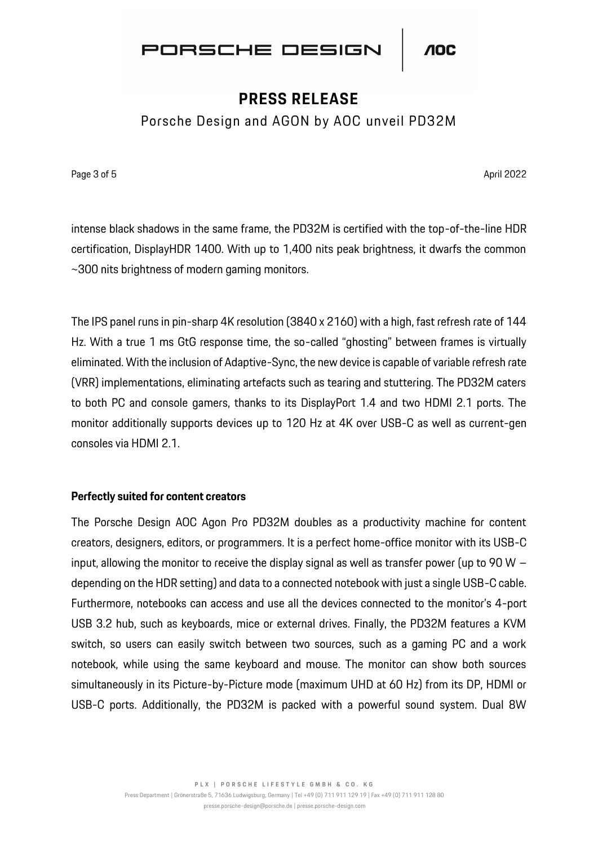

## **PRESS RELEASE**

Porsche Design and AGON by AOC unveil PD32M

Page 3 of 5 April 2022 **April 2022** 

intense black shadows in the same frame, the PD32M is certified with the top-of-the-line HDR certification, DisplayHDR 1400. With up to 1,400 nits peak brightness, it dwarfs the common ~300 nits brightness of modern gaming monitors.

The IPS panel runs in pin-sharp 4K resolution (3840 x 2160) with a high, fast refresh rate of 144 Hz. With a true 1 ms GtG response time, the so-called "ghosting" between frames is virtually eliminated. With the inclusion of Adaptive-Sync, the new device is capable of variable refresh rate (VRR) implementations, eliminating artefacts such as tearing and stuttering. The PD32M caters to both PC and console gamers, thanks to its DisplayPort 1.4 and two HDMI 2.1 ports. The monitor additionally supports devices up to 120 Hz at 4K over USB-C as well as current-gen consoles via HDMI 2.1.

#### **Perfectly suited for content creators**

The Porsche Design AOC Agon Pro PD32M doubles as a productivity machine for content creators, designers, editors, or programmers. It is a perfect home-office monitor with its USB-C input, allowing the monitor to receive the display signal as well as transfer power (up to 90 W – depending on the HDR setting) and data to a connected notebook with just a single USB-C cable. Furthermore, notebooks can access and use all the devices connected to the monitor's 4-port USB 3.2 hub, such as keyboards, mice or external drives. Finally, the PD32M features a KVM switch, so users can easily switch between two sources, such as a gaming PC and a work notebook, while using the same keyboard and mouse. The monitor can show both sources simultaneously in its Picture-by-Picture mode (maximum UHD at 60 Hz) from its DP, HDMI or USB-C ports. Additionally, the PD32M is packed with a powerful sound system. Dual 8W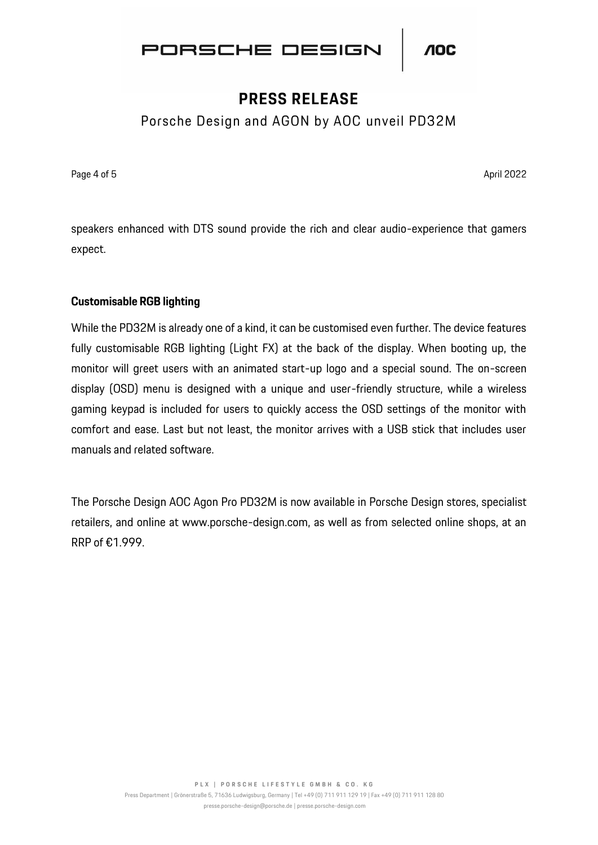

# **PRESS RELEASE**

Porsche Design and AGON by AOC unveil PD32M

Page 4 of 5 April 2022 **April 2022** 

speakers enhanced with DTS sound provide the rich and clear audio-experience that gamers expect.

### **Customisable RGB lighting**

While the PD32M is already one of a kind, it can be customised even further. The device features fully customisable RGB lighting (Light FX) at the back of the display. When booting up, the monitor will greet users with an animated start-up logo and a special sound. The on-screen display (OSD) menu is designed with a unique and user-friendly structure, while a wireless gaming keypad is included for users to quickly access the OSD settings of the monitor with comfort and ease. Last but not least, the monitor arrives with a USB stick that includes user manuals and related software.

The Porsche Design AOC Agon Pro PD32M is now available in Porsche Design stores, specialist retailers, and online at www.porsche-design.com, as well as from selected online shops, at an RRP of €1.999.